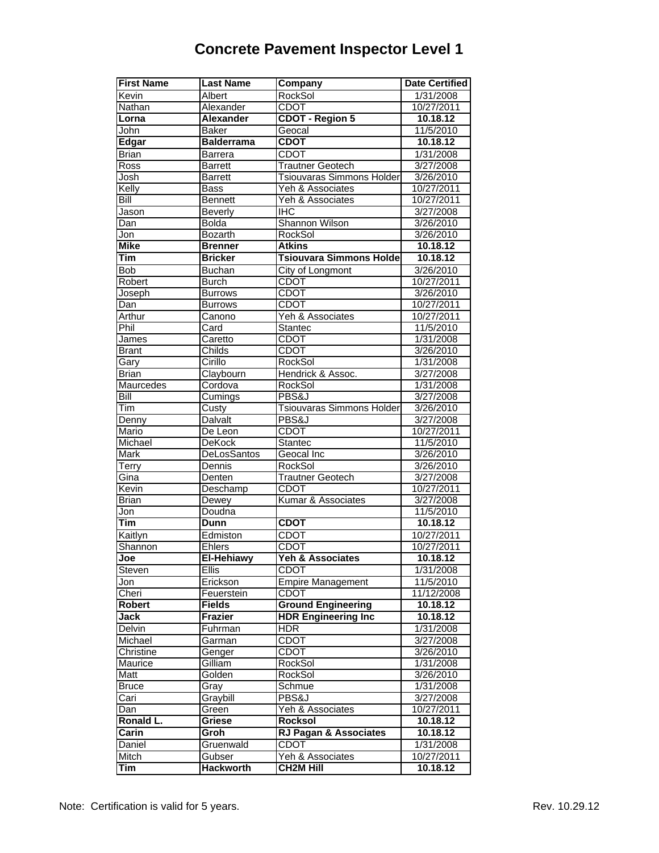## **Concrete Pavement Inspector Level 1**

| <b>First Name</b>          | <b>Last Name</b>            | <b>Company</b>                          | <b>Date Certified</b>    |
|----------------------------|-----------------------------|-----------------------------------------|--------------------------|
| Kevin                      | Albert                      | <b>RockSol</b>                          | 1/31/2008                |
| Nathan                     | Alexander                   | <b>CDOT</b>                             | 10/27/2011               |
| Lorna                      | <b>Alexander</b>            | <b>CDOT - Region 5</b>                  | 10.18.12                 |
| John                       | <b>Baker</b>                | Geocal                                  | 11/5/2010                |
| Edgar                      | <b>Balderrama</b>           | <b>CDOT</b>                             | 10.18.12                 |
| <b>Brian</b>               | <b>Barrera</b>              | <b>CDOT</b>                             | 1/31/2008                |
| Ross                       | <b>Barrett</b>              | <b>Trautner Geotech</b>                 | 3/27/2008                |
| Josh                       | <b>Barrett</b>              | Tsiouvaras Simmons Holder               | 3/26/2010                |
| Kelly                      | <b>Bass</b>                 | Yeh & Associates                        | 10/27/2011               |
| Bill                       | <b>Bennett</b>              | Yeh & Associates                        | 10/27/2011               |
| Jason                      | <b>Beverly</b>              | <b>IHC</b>                              | 3/27/2008                |
| Dan                        | <b>Bolda</b>                | Shannon Wilson                          | 3/26/2010                |
| Jon                        | Bozarth                     | <b>RockSol</b>                          | 3/26/2010                |
| <b>Mike</b>                | <b>Brenner</b>              | <b>Atkins</b>                           | 10.18.12                 |
| Tim                        | <b>Bricker</b>              | <b>Tsiouvara Simmons Holder</b>         | 10.18.12                 |
| Bob                        | <b>Buchan</b>               | <b>City of Longmont</b>                 | 3/26/2010                |
| Robert                     | <b>Burch</b>                | <b>CDOT</b>                             | 10/27/2011               |
| Joseph                     | <b>Burrows</b>              | <b>CDOT</b>                             | 3/26/2010                |
| Dan                        | <b>Burrows</b>              | <b>CDOT</b>                             | 10/27/2011               |
| Arthur                     | Canono                      | Yeh & Associates                        | 10/27/2011               |
| Phil                       | Card                        | Stantec                                 | 11/5/2010                |
| James                      | Caretto                     | <b>CDOT</b>                             | 1/31/2008                |
| Brant                      | Childs                      | <b>CDOT</b>                             | 3/26/2010                |
| Gary                       | Cirillo                     | RockSol                                 | 1/31/2008                |
| <b>Brian</b>               | Claybourn                   | Hendrick & Assoc.                       | $\frac{1}{3}{27}/2008$   |
| <b>Maurcedes</b>           | Cordova                     | <b>RockSol</b>                          | 1/31/2008                |
| $\overline{\mathsf{Bill}}$ | Cumings                     | PBS&J                                   | 3/27/2008                |
| Tim                        | Custy                       | <b>Tsiouvaras Simmons Holder</b>        | 3/26/2010                |
| Denny                      | Dalvalt                     | PBS&J                                   | 3/27/2008                |
| Mario                      | De Leon                     | <b>CDOT</b>                             | 10/27/2011               |
| Michael                    | <b>DeKock</b>               | Stantec                                 | 11/5/2010                |
| Mark                       | DeLosSantos                 | Geocal Inc                              | 3/26/2010                |
| Terry                      | Dennis                      | RockSol                                 | 3/26/2010                |
| Gina                       | Denten                      | <b>Trautner Geotech</b>                 | 3/27/2008                |
| Kevin                      | Deschamp                    | <b>CDOT</b>                             | 10/27/2011               |
| Brian<br>Jon               | Dewey<br>Doudna             | Kumar & Associates                      | 3/27/2008                |
| Tim                        | <b>Dunn</b>                 | <b>CDOT</b>                             | 11/5/2010                |
|                            |                             | <b>CDOT</b>                             | 10.18.12                 |
| Kaitlyn                    | Edmiston<br>Ehlers          | <b>CDOT</b>                             | 10/27/2011<br>10/27/2011 |
| Shannon<br>Joe             | El-Hehiawy                  | Yeh & Associates                        | 10.18.12                 |
|                            | <b>Ellis</b>                | <b>CDOT</b>                             | 1/31/2008                |
| Steven<br>Jon              | Erickson                    |                                         | 11/5/2010                |
|                            |                             | <b>Empire Management</b><br><b>CDOT</b> |                          |
| Cheri<br><b>Robert</b>     | Feuerstein<br><b>Fields</b> | <b>Ground Engineering</b>               | 11/12/2008               |
| Jack                       | <b>Frazier</b>              | <b>HDR Engineering Inc</b>              | 10.18.12<br>10.18.12     |
| Delvin                     | Fuhrman                     | HDR                                     | 1/31/2008                |
| Michael                    | Garman                      | <b>CDOT</b>                             | 3/27/2008                |
| Christine                  | Genger                      | <b>CDOT</b>                             | 3/26/2010                |
| Maurice                    | Gilliam                     | <b>RockSol</b>                          | 1/31/2008                |
| Matt                       | Golden                      | RockSol                                 | 3/26/2010                |
| Bruce                      | Gray                        | Schmue                                  | 1/31/2008                |
| Cari                       | Graybill                    | PBS&J                                   | 3/27/2008                |
| Dan                        | Green                       | Yeh & Associates                        | 10/27/2011               |
| Ronald L.                  | Griese                      | Rocksol                                 | 10.18.12                 |
| Carin                      | Groh                        | <b>RJ Pagan &amp; Associates</b>        | 10.18.12                 |
| Daniel                     | Gruenwald                   | <b>CDOT</b>                             | 1/31/2008                |
| Mitch                      | Gubser                      | Yeh & Associates                        | 10/27/2011               |
| Tim                        | <b>Hackworth</b>            | <b>CH2M Hill</b>                        | 10.18.12                 |
|                            |                             |                                         |                          |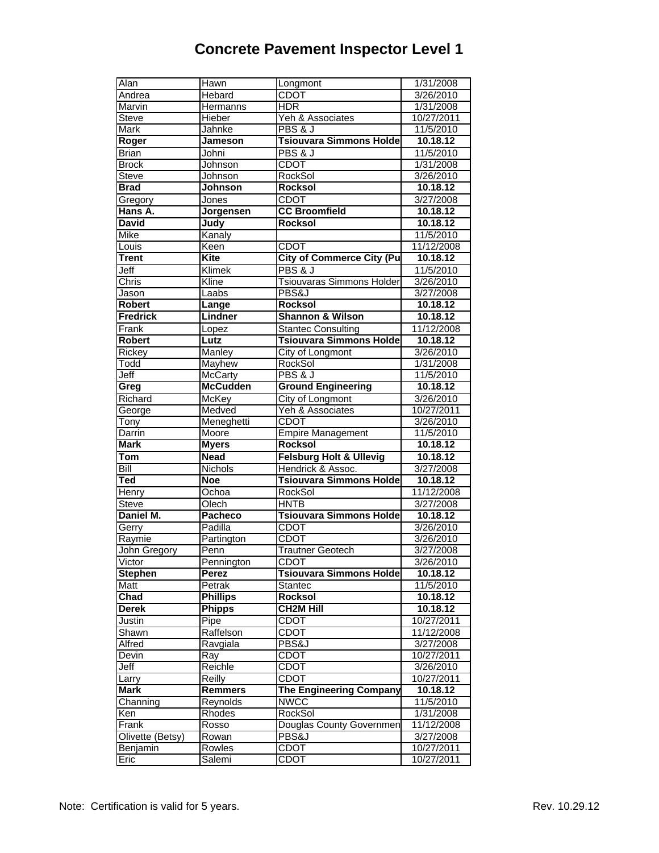## **Concrete Pavement Inspector Level 1**

| Alan                    | <b>Hawn</b>             | Longmont                           | 1/31/2008                |
|-------------------------|-------------------------|------------------------------------|--------------------------|
| Andrea                  | Hebard                  | <b>CDOT</b>                        | 3/26/2010                |
| <b>Marvin</b>           | <b>Hermanns</b>         | HDR                                | 1/31/2008                |
| <b>Steve</b>            | Hieber                  | Yeh & Associates                   | 10/27/2011               |
| Mark                    | Jahnke                  | <b>PBS &amp; J</b>                 | 11/5/2010                |
| Roger                   | <b>Jameson</b>          | <b>Tsiouvara Simmons Holder</b>    | 10.18.12                 |
| <b>Brian</b>            | Johni                   | <b>PBS &amp; J</b>                 | 11/5/2010                |
| <b>Brock</b>            | Johnson                 | <b>CDOT</b>                        | 1/31/2008                |
| <b>Steve</b>            | <b>Johnson</b>          | RockSol                            | 3/26/2010                |
| <b>Brad</b>             | Johnson                 | <b>Rocksol</b>                     | 10.18.12                 |
| Gregory                 | <b>Jones</b>            | <b>CDOT</b>                        | 3/27/2008                |
| Hans A.                 | Jorgensen               | <b>CC Broomfield</b>               | 10.18.12                 |
| <b>David</b>            | <b>Judy</b>             | <b>Rocksol</b>                     | 10.18.12                 |
| Mike                    | Kanaly                  |                                    | 11/5/2010                |
| Louis                   | Keen                    | <b>CDOT</b>                        | 11/12/2008               |
| <b>Trent</b>            | <b>Kite</b>             | <b>City of Commerce City (Pu</b>   | 10.18.12                 |
| Jeff                    | Klimek                  | PBS & J                            | 11/5/2010                |
| Chris                   | Kline                   | <b>Tsiouvaras Simmons Holder</b>   | 3/26/2010                |
| Jason                   | Laabs                   | PBS&J                              | 3/27/2008                |
| <b>Robert</b>           | Lange                   | <b>Rocksol</b>                     | 10.18.12                 |
| <b>Fredrick</b>         | Lindner                 | <b>Shannon &amp; Wilson</b>        | 10.18.12                 |
| Frank                   | Lopez                   | <b>Stantec Consulting</b>          | 11/12/2008               |
| <b>Robert</b>           | Lutz                    | <b>Tsiouvara Simmons Holder</b>    | 10.18.12                 |
| Rickey                  | <b>Manley</b>           | City of Longmont                   | 3/26/2010                |
| Todd                    | Mayhew                  | <b>RockSol</b>                     | 1/31/2008                |
| Jeff                    | McCarty                 | PBS & J                            | 11/5/2010                |
| Greg                    | <b>McCudden</b>         | <b>Ground Engineering</b>          | 10.18.12                 |
| Richard                 | McKey                   | City of Longmont                   | 3/26/2010                |
| George                  | Medved                  | Yeh & Associates                   | 10/27/2011               |
| Tony                    | Meneghetti              | <b>CDOT</b>                        | 3/26/2010                |
|                         |                         |                                    |                          |
| Darrin                  | Moore                   | <b>Empire Management</b>           | 11/5/2010                |
| <b>Mark</b>             | <b>Myers</b>            | Rocksol                            | 10.18.12                 |
| Tom                     | <b>Nead</b>             | <b>Felsburg Holt &amp; Ullevig</b> | 10.18.12                 |
| Bill                    | Nichols                 | Hendrick & Assoc.                  | 3/27/2008                |
| Ted                     | <b>Noe</b>              | <b>Tsiouvara Simmons Holder</b>    | 10.18.12                 |
| Henry                   | Ochoa                   | <b>RockSol</b>                     | 11/12/2008               |
| Steve                   | Olech                   | <b>HNTB</b>                        | 3/27/2008                |
| Daniel M.               | <b>Pacheco</b>          | <b>Tsiouvara Simmons Holder</b>    | 10.18.12                 |
| Gerry                   | Padilla                 | <b>CDOT</b>                        | 3/26/2010                |
| Raymie                  | Partington              | <b>CDOT</b>                        | 3/26/2010                |
| <b>John Gregory</b>     | Penn                    | <b>Trautner Geotech</b>            | 3/27/2008                |
| Victor                  | Pennington              | CDOT                               | 3/26/2010                |
| <b>Stephen</b>          | Perez                   | <b>Tsiouvara Simmons Holde</b>     | 10.18.12                 |
| Matt                    | Petrak                  | <b>Stantec</b>                     | 11/5/2010                |
| Chad                    | <b>Phillips</b>         | <b>Rocksol</b>                     | 10.18.12                 |
| <b>Derek</b>            | <b>Phipps</b>           | <b>CH2M Hill</b>                   | 10.18.12                 |
| Justin                  | Pipe                    | <b>CDOT</b>                        | 10/27/2011               |
| Shawn                   | Raffelson               | <b>CDOT</b>                        | 11/12/2008               |
| Alfred                  | Ravgiala                | PBS&J                              | 3/27/2008                |
| Devin                   | $\overline{\text{Ray}}$ | <b>CDOT</b>                        | 10/27/2011               |
| Jeff                    | Reichle                 | <b>CDOT</b>                        | 3/26/2010                |
| Larry                   | Reilly                  | <b>CDOT</b>                        | 10/27/2011               |
| <b>Mark</b>             | <b>Remmers</b>          | <b>The Engineering Company</b>     | 10.18.12                 |
| Channing                | Reynolds                | <b>NWCC</b>                        | 11/5/2010                |
| Ken                     | Rhodes                  | <b>RockSol</b>                     | 1/31/2008                |
| Frank                   | Rosso                   | Douglas County Governmen           | 11/12/2008               |
| Olivette (Betsy)        | Rowan                   | PBS&J                              | 3/27/2008                |
| <b>Benjamin</b><br>Eric | Rowles<br>Salemi        | <b>CDOT</b><br><b>CDOT</b>         | 10/27/2011<br>10/27/2011 |